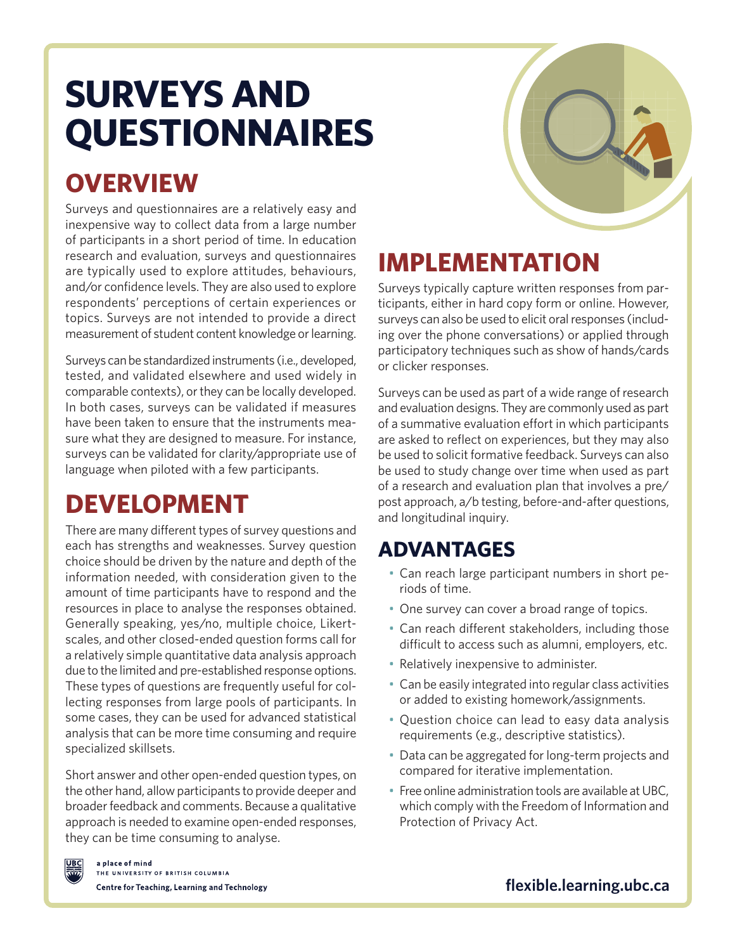# **SURVEYS AND QUESTIONNAIRES**

## **OVERVIEW**

Surveys and questionnaires are a relatively easy and inexpensive way to collect data from a large number of participants in a short period of time. In education research and evaluation, surveys and questionnaires are typically used to explore attitudes, behaviours, and/or confidence levels. They are also used to explore respondents' perceptions of certain experiences or topics. Surveys are not intended to provide a direct measurement of student content knowledge or learning.

Surveys can be standardized instruments (i.e., developed, tested, and validated elsewhere and used widely in comparable contexts), or they can be locally developed. In both cases, surveys can be validated if measures have been taken to ensure that the instruments measure what they are designed to measure. For instance, surveys can be validated for clarity/appropriate use of language when piloted with a few participants.

## **DEVELOPMENT**

There are many different types of survey questions and each has strengths and weaknesses. Survey question choice should be driven by the nature and depth of the information needed, with consideration given to the amount of time participants have to respond and the resources in place to analyse the responses obtained. Generally speaking, yes/no, multiple choice, Likertscales, and other closed-ended question forms call for a relatively simple quantitative data analysis approach due to the limited and pre-established response options. These types of questions are frequently useful for collecting responses from large pools of participants. In some cases, they can be used for advanced statistical analysis that can be more time consuming and require specialized skillsets.

Short answer and other open-ended question types, on the other hand, allow participants to provide deeper and broader feedback and comments. Because a qualitative approach is needed to examine open-ended responses, they can be time consuming to analyse.

## **IMPLEMENTATION**

Surveys typically capture written responses from participants, either in hard copy form or online. However, surveys can also be used to elicit oral responses (including over the phone conversations) or applied through participatory techniques such as show of hands/cards or clicker responses.

Surveys can be used as part of a wide range of research and evaluation designs. They are commonly used as part of a summative evaluation effort in which participants are asked to reflect on experiences, but they may also be used to solicit formative feedback. Surveys can also be used to study change over time when used as part of a research and evaluation plan that involves a pre/ post approach, a/b testing, before-and-after questions, and longitudinal inquiry.

#### **ADVANTAGES**

- Can reach large participant numbers in short periods of time.
- One survey can cover a broad range of topics.
- Can reach different stakeholders, including those difficult to access such as alumni, employers, etc.
- Relatively inexpensive to administer.
- Can be easily integrated into regular class activities or added to existing homework/assignments.
- Question choice can lead to easy data analysis requirements (e.g., descriptive statistics).
- Data can be aggregated for long-term projects and compared for iterative implementation.
- Free online administration tools are available at UBC, which comply with the Freedom of Information and Protection of Privacy Act.



**[flexible.learning.ubc.ca](http://flexible.learning.ubc.ca)**